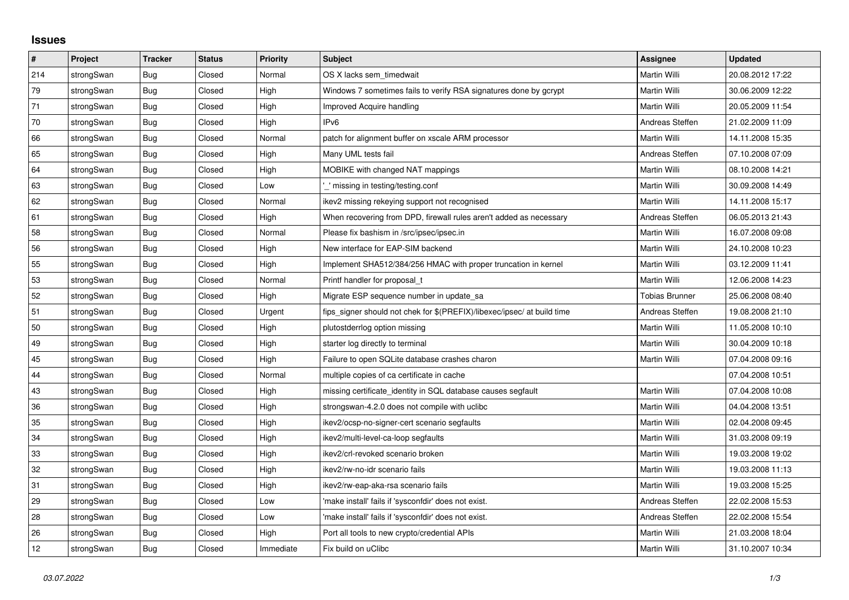## **Issues**

| $\vert$ # | Project    | <b>Tracker</b> | <b>Status</b> | Priority  | <b>Subject</b>                                                          | <b>Assignee</b>       | <b>Updated</b>   |
|-----------|------------|----------------|---------------|-----------|-------------------------------------------------------------------------|-----------------------|------------------|
| 214       | strongSwan | Bug            | Closed        | Normal    | OS X lacks sem timedwait                                                | Martin Willi          | 20.08.2012 17:22 |
| 79        | strongSwan | <b>Bug</b>     | Closed        | High      | Windows 7 sometimes fails to verify RSA signatures done by gcrypt       | Martin Willi          | 30.06.2009 12:22 |
| 71        | strongSwan | Bug            | Closed        | High      | <b>Improved Acquire handling</b>                                        | Martin Willi          | 20.05.2009 11:54 |
| 70        | strongSwan | <b>Bug</b>     | Closed        | High      | IP <sub>v6</sub>                                                        | Andreas Steffen       | 21.02.2009 11:09 |
| 66        | strongSwan | <b>Bug</b>     | Closed        | Normal    | patch for alignment buffer on xscale ARM processor                      | Martin Willi          | 14.11.2008 15:35 |
| 65        | strongSwan | Bug            | Closed        | High      | Many UML tests fail                                                     | Andreas Steffen       | 07.10.2008 07:09 |
| 64        | strongSwan | <b>Bug</b>     | Closed        | High      | MOBIKE with changed NAT mappings                                        | <b>Martin Willi</b>   | 08.10.2008 14:21 |
| 63        | strongSwan | Bug            | Closed        | Low       | missing in testing/testing.conf                                         | Martin Willi          | 30.09.2008 14:49 |
| 62        | strongSwan | <b>Bug</b>     | Closed        | Normal    | ikev2 missing rekeying support not recognised                           | Martin Willi          | 14.11.2008 15:17 |
| 61        | strongSwan | <b>Bug</b>     | Closed        | High      | When recovering from DPD, firewall rules aren't added as necessary      | Andreas Steffen       | 06.05.2013 21:43 |
| 58        | strongSwan | Bug            | Closed        | Normal    | Please fix bashism in /src/ipsec/ipsec.in                               | Martin Willi          | 16.07.2008 09:08 |
| 56        | strongSwan | Bug            | Closed        | High      | New interface for EAP-SIM backend                                       | Martin Willi          | 24.10.2008 10:23 |
| 55        | strongSwan | <b>Bug</b>     | Closed        | High      | Implement SHA512/384/256 HMAC with proper truncation in kernel          | <b>Martin Willi</b>   | 03.12.2009 11:41 |
| 53        | strongSwan | Bug            | Closed        | Normal    | Printf handler for proposal t                                           | Martin Willi          | 12.06.2008 14:23 |
| 52        | strongSwan | <b>Bug</b>     | Closed        | High      | Migrate ESP sequence number in update sa                                | <b>Tobias Brunner</b> | 25.06.2008 08:40 |
| 51        | strongSwan | <b>Bug</b>     | Closed        | Urgent    | fips_signer should not chek for \$(PREFIX)/libexec/ipsec/ at build time | Andreas Steffen       | 19.08.2008 21:10 |
| 50        | strongSwan | Bug            | Closed        | High      | plutostderrlog option missing                                           | Martin Willi          | 11.05.2008 10:10 |
| 49        | strongSwan | Bug            | Closed        | High      | starter log directly to terminal                                        | Martin Willi          | 30.04.2009 10:18 |
| 45        | strongSwan | Bug            | Closed        | High      | Failure to open SQLite database crashes charon                          | Martin Willi          | 07.04.2008 09:16 |
| 44        | strongSwan | Bug            | Closed        | Normal    | multiple copies of ca certificate in cache                              |                       | 07.04.2008 10:51 |
| 43        | strongSwan | <b>Bug</b>     | Closed        | High      | missing certificate identity in SQL database causes segfault            | Martin Willi          | 07.04.2008 10:08 |
| 36        | strongSwan | Bug            | Closed        | High      | strongswan-4.2.0 does not compile with uclibe                           | Martin Willi          | 04.04.2008 13:51 |
| 35        | strongSwan | Bug            | Closed        | High      | ikev2/ocsp-no-signer-cert scenario segfaults                            | Martin Willi          | 02.04.2008 09:45 |
| 34        | strongSwan | Bug            | Closed        | High      | ikev2/multi-level-ca-loop segfaults                                     | Martin Willi          | 31.03.2008 09:19 |
| 33        | strongSwan | <b>Bug</b>     | Closed        | High      | ikev2/crl-revoked scenario broken                                       | Martin Willi          | 19.03.2008 19:02 |
| 32        | strongSwan | Bug            | Closed        | High      | ikev2/rw-no-idr scenario fails                                          | Martin Willi          | 19.03.2008 11:13 |
| 31        | strongSwan | Bug            | Closed        | High      | ikev2/rw-eap-aka-rsa scenario fails                                     | Martin Willi          | 19.03.2008 15:25 |
| 29        | strongSwan | Bug            | Closed        | Low       | 'make install' fails if 'sysconfdir' does not exist.                    | Andreas Steffen       | 22.02.2008 15:53 |
| 28        | strongSwan | Bug            | Closed        | Low       | 'make install' fails if 'sysconfdir' does not exist.                    | Andreas Steffen       | 22.02.2008 15:54 |
| 26        | strongSwan | Bug            | Closed        | High      | Port all tools to new crypto/credential APIs                            | Martin Willi          | 21.03.2008 18:04 |
| 12        | strongSwan | Bug            | Closed        | Immediate | Fix build on uClibc                                                     | Martin Willi          | 31.10.2007 10:34 |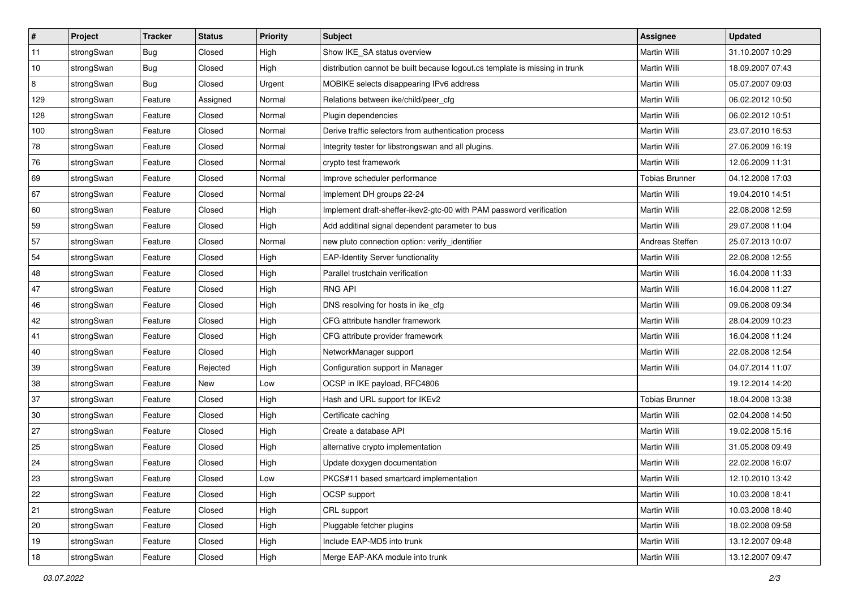| $\vert$ # | Project    | <b>Tracker</b> | <b>Status</b> | <b>Priority</b> | <b>Subject</b>                                                              | Assignee              | <b>Updated</b>   |
|-----------|------------|----------------|---------------|-----------------|-----------------------------------------------------------------------------|-----------------------|------------------|
| 11        | strongSwan | Bug            | Closed        | High            | Show IKE_SA status overview                                                 | Martin Willi          | 31.10.2007 10:29 |
| 10        | strongSwan | Bug            | Closed        | High            | distribution cannot be built because logout.cs template is missing in trunk | Martin Willi          | 18.09.2007 07:43 |
| 8         | strongSwan | <b>Bug</b>     | Closed        | Urgent          | MOBIKE selects disappearing IPv6 address                                    | Martin Willi          | 05.07.2007 09:03 |
| 129       | strongSwan | Feature        | Assigned      | Normal          | Relations between ike/child/peer_cfg                                        | Martin Willi          | 06.02.2012 10:50 |
| 128       | strongSwan | Feature        | Closed        | Normal          | Plugin dependencies                                                         | Martin Willi          | 06.02.2012 10:51 |
| 100       | strongSwan | Feature        | Closed        | Normal          | Derive traffic selectors from authentication process                        | Martin Willi          | 23.07.2010 16:53 |
| 78        | strongSwan | Feature        | Closed        | Normal          | Integrity tester for libstrongswan and all plugins.                         | Martin Willi          | 27.06.2009 16:19 |
| 76        | strongSwan | Feature        | Closed        | Normal          | crypto test framework                                                       | Martin Willi          | 12.06.2009 11:31 |
| 69        | strongSwan | Feature        | Closed        | Normal          | Improve scheduler performance                                               | <b>Tobias Brunner</b> | 04.12.2008 17:03 |
| 67        | strongSwan | Feature        | Closed        | Normal          | Implement DH groups 22-24                                                   | Martin Willi          | 19.04.2010 14:51 |
| 60        | strongSwan | Feature        | Closed        | High            | Implement draft-sheffer-ikev2-gtc-00 with PAM password verification         | Martin Willi          | 22.08.2008 12:59 |
| 59        | strongSwan | Feature        | Closed        | High            | Add additinal signal dependent parameter to bus                             | Martin Willi          | 29.07.2008 11:04 |
| 57        | strongSwan | Feature        | Closed        | Normal          | new pluto connection option: verify_identifier                              | Andreas Steffen       | 25.07.2013 10:07 |
| 54        | strongSwan | Feature        | Closed        | High            | <b>EAP-Identity Server functionality</b>                                    | Martin Willi          | 22.08.2008 12:55 |
| 48        | strongSwan | Feature        | Closed        | High            | Parallel trustchain verification                                            | <b>Martin Willi</b>   | 16.04.2008 11:33 |
| 47        | strongSwan | Feature        | Closed        | High            | <b>RNG API</b>                                                              | Martin Willi          | 16.04.2008 11:27 |
| 46        | strongSwan | Feature        | Closed        | High            | DNS resolving for hosts in ike_cfg                                          | <b>Martin Willi</b>   | 09.06.2008 09:34 |
| 42        | strongSwan | Feature        | Closed        | High            | CFG attribute handler framework                                             | Martin Willi          | 28.04.2009 10:23 |
| 41        | strongSwan | Feature        | Closed        | High            | CFG attribute provider framework                                            | Martin Willi          | 16.04.2008 11:24 |
| 40        | strongSwan | Feature        | Closed        | High            | NetworkManager support                                                      | Martin Willi          | 22.08.2008 12:54 |
| 39        | strongSwan | Feature        | Rejected      | High            | Configuration support in Manager                                            | Martin Willi          | 04.07.2014 11:07 |
| 38        | strongSwan | Feature        | New           | Low             | OCSP in IKE payload, RFC4806                                                |                       | 19.12.2014 14:20 |
| 37        | strongSwan | Feature        | Closed        | High            | Hash and URL support for IKEv2                                              | <b>Tobias Brunner</b> | 18.04.2008 13:38 |
| 30        | strongSwan | Feature        | Closed        | High            | Certificate caching                                                         | Martin Willi          | 02.04.2008 14:50 |
| 27        | strongSwan | Feature        | Closed        | High            | Create a database API                                                       | Martin Willi          | 19.02.2008 15:16 |
| 25        | strongSwan | Feature        | Closed        | High            | alternative crypto implementation                                           | Martin Willi          | 31.05.2008 09:49 |
| 24        | strongSwan | Feature        | Closed        | High            | Update doxygen documentation                                                | Martin Willi          | 22.02.2008 16:07 |
| 23        | strongSwan | Feature        | Closed        | Low             | PKCS#11 based smartcard implementation                                      | Martin Willi          | 12.10.2010 13:42 |
| 22        | strongSwan | Feature        | Closed        | High            | OCSP support                                                                | Martin Willi          | 10.03.2008 18:41 |
| 21        | strongSwan | Feature        | Closed        | High            | CRL support                                                                 | Martin Willi          | 10.03.2008 18:40 |
| 20        | strongSwan | Feature        | Closed        | High            | Pluggable fetcher plugins                                                   | Martin Willi          | 18.02.2008 09:58 |
| 19        | strongSwan | Feature        | Closed        | High            | Include EAP-MD5 into trunk                                                  | Martin Willi          | 13.12.2007 09:48 |
| 18        | strongSwan | Feature        | Closed        | High            | Merge EAP-AKA module into trunk                                             | Martin Willi          | 13.12.2007 09:47 |